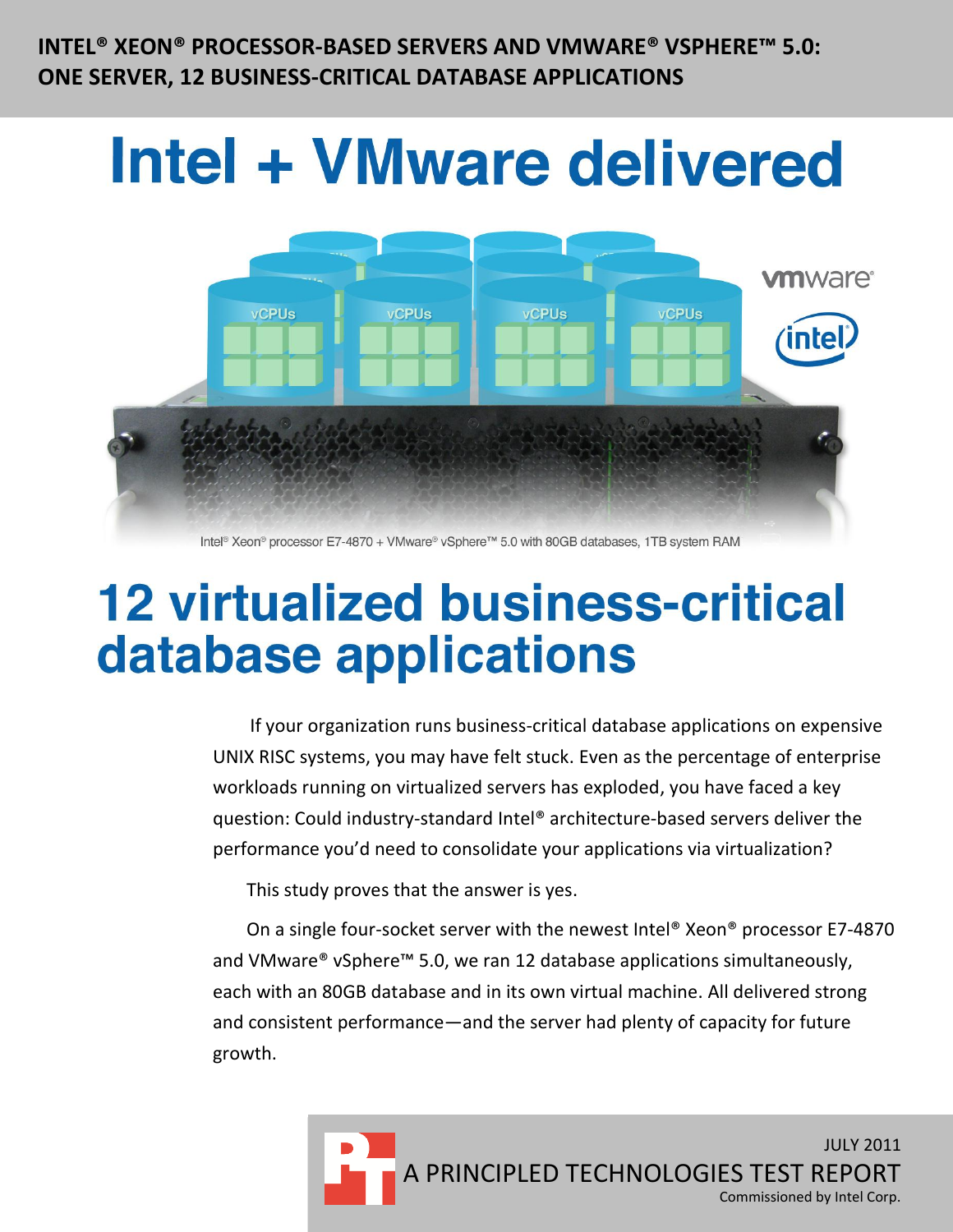**INTEL® XEON® PROCESSOR-BASED SERVERS AND VMWARE® VSPHERE™ 5.0: ONE SERVER, 12 BUSINESS-CRITICAL DATABASE APPLICATIONS**

# **Intel + VMware delivered**



Intel® Xeon® processor E7-4870 + VMware® vSphere™ 5.0 with 80GB databases, 1TB system RAM

# **12 virtualized business-critical** database applications

If your organization runs business-critical database applications on expensive UNIX RISC systems, you may have felt stuck. Even as the percentage of enterprise workloads running on virtualized servers has exploded, you have faced a key question: Could industry-standard Intel® architecture-based servers deliver the performance you'd need to consolidate your applications via virtualization?

This study proves that the answer is yes.

On a single four-socket server with the newest Intel® Xeon® processor E7-4870 and VMware® vSphere™ 5.0, we ran 12 database applications simultaneously, each with an 80GB database and in its own virtual machine. All delivered strong and consistent performance—and the server had plenty of capacity for future growth.

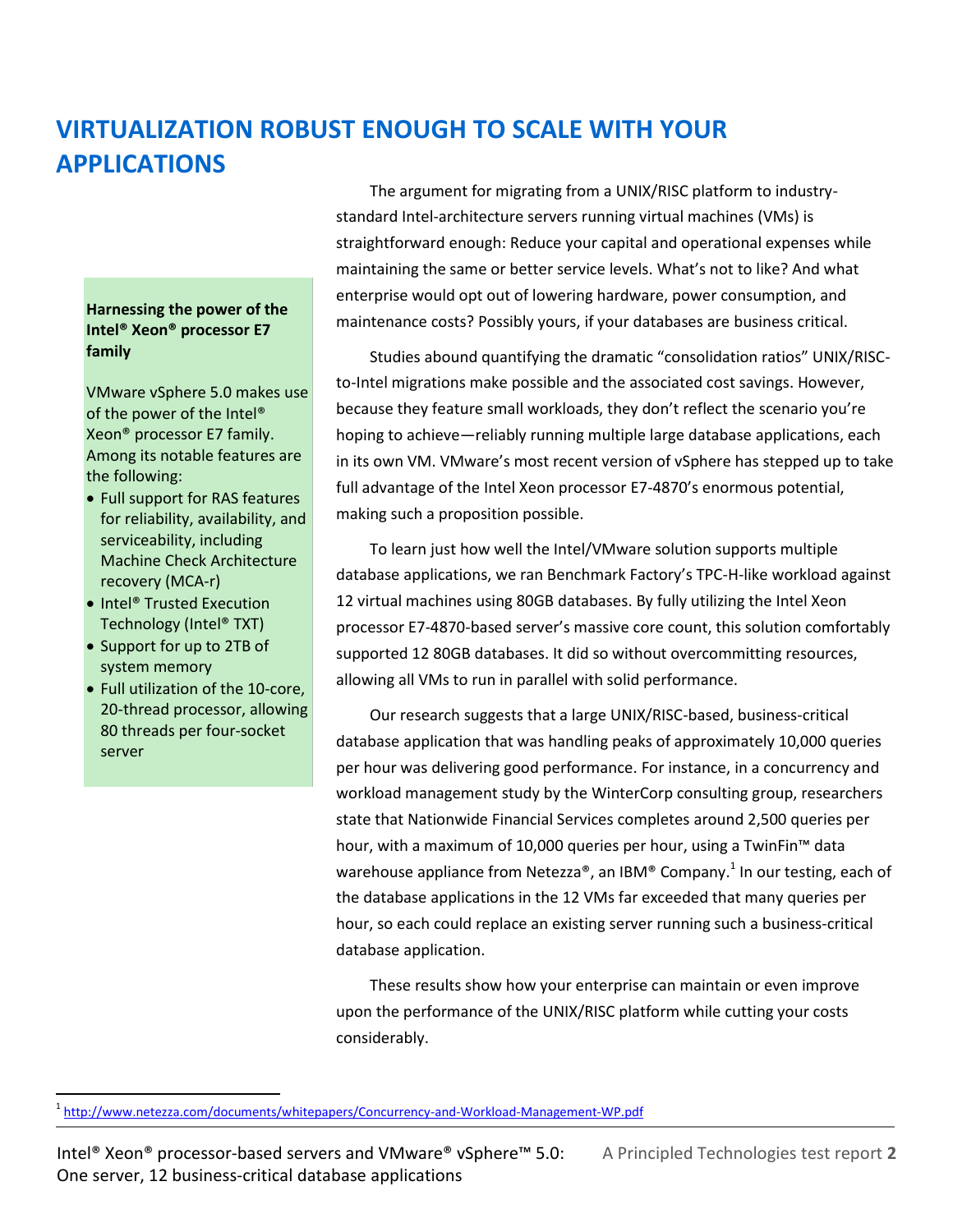# **VIRTUALIZATION ROBUST ENOUGH TO SCALE WITH YOUR APPLICATIONS**

#### **Harnessing the power of the Intel® Xeon® processor E7 family**

VMware vSphere 5.0 makes use of the power of the Intel® Xeon® processor E7 family. Among its notable features are the following:

- Full support for RAS features for reliability, availability, and serviceability, including Machine Check Architecture recovery (MCA-r)
- Intel® Trusted Execution Technology (Intel® TXT)
- Support for up to 2TB of system memory

 $\overline{a}$ 

 Full utilization of the 10-core, 20-thread processor, allowing 80 threads per four-socket server

The argument for migrating from a UNIX/RISC platform to industrystandard Intel-architecture servers running virtual machines (VMs) is straightforward enough: Reduce your capital and operational expenses while maintaining the same or better service levels. What's not to like? And what enterprise would opt out of lowering hardware, power consumption, and maintenance costs? Possibly yours, if your databases are business critical.

Studies abound quantifying the dramatic "consolidation ratios" UNIX/RISCto-Intel migrations make possible and the associated cost savings. However, because they feature small workloads, they don't reflect the scenario you're hoping to achieve—reliably running multiple large database applications, each in its own VM. VMware's most recent version of vSphere has stepped up to take full advantage of the Intel Xeon processor E7-4870's enormous potential, making such a proposition possible.

To learn just how well the Intel/VMware solution supports multiple database applications, we ran Benchmark Factory's TPC-H-like workload against 12 virtual machines using 80GB databases. By fully utilizing the Intel Xeon processor E7-4870-based server's massive core count, this solution comfortably supported 12 80GB databases. It did so without overcommitting resources, allowing all VMs to run in parallel with solid performance.

Our research suggests that a large UNIX/RISC-based, business-critical database application that was handling peaks of approximately 10,000 queries per hour was delivering good performance. For instance, in a concurrency and workload management study by the WinterCorp consulting group, researchers state that Nationwide Financial Services completes around 2,500 queries per hour, with a maximum of 10,000 queries per hour, using a TwinFin™ data warehouse appliance from Netezza®, an IBM® Company.<sup>1</sup> In our testing, each of the database applications in the 12 VMs far exceeded that many queries per hour, so each could replace an existing server running such a business-critical database application.

These results show how your enterprise can maintain or even improve upon the performance of the UNIX/RISC platform while cutting your costs considerably.

<sup>&</sup>lt;sup>1</sup> <http://www.netezza.com/documents/whitepapers/Concurrency-and-Workload-Management-WP.pdf>

Intel® Xeon® processor-based servers and VMware® vSphere™ 5.0: A Principled Technologies test report **2** One server, 12 business-critical database applications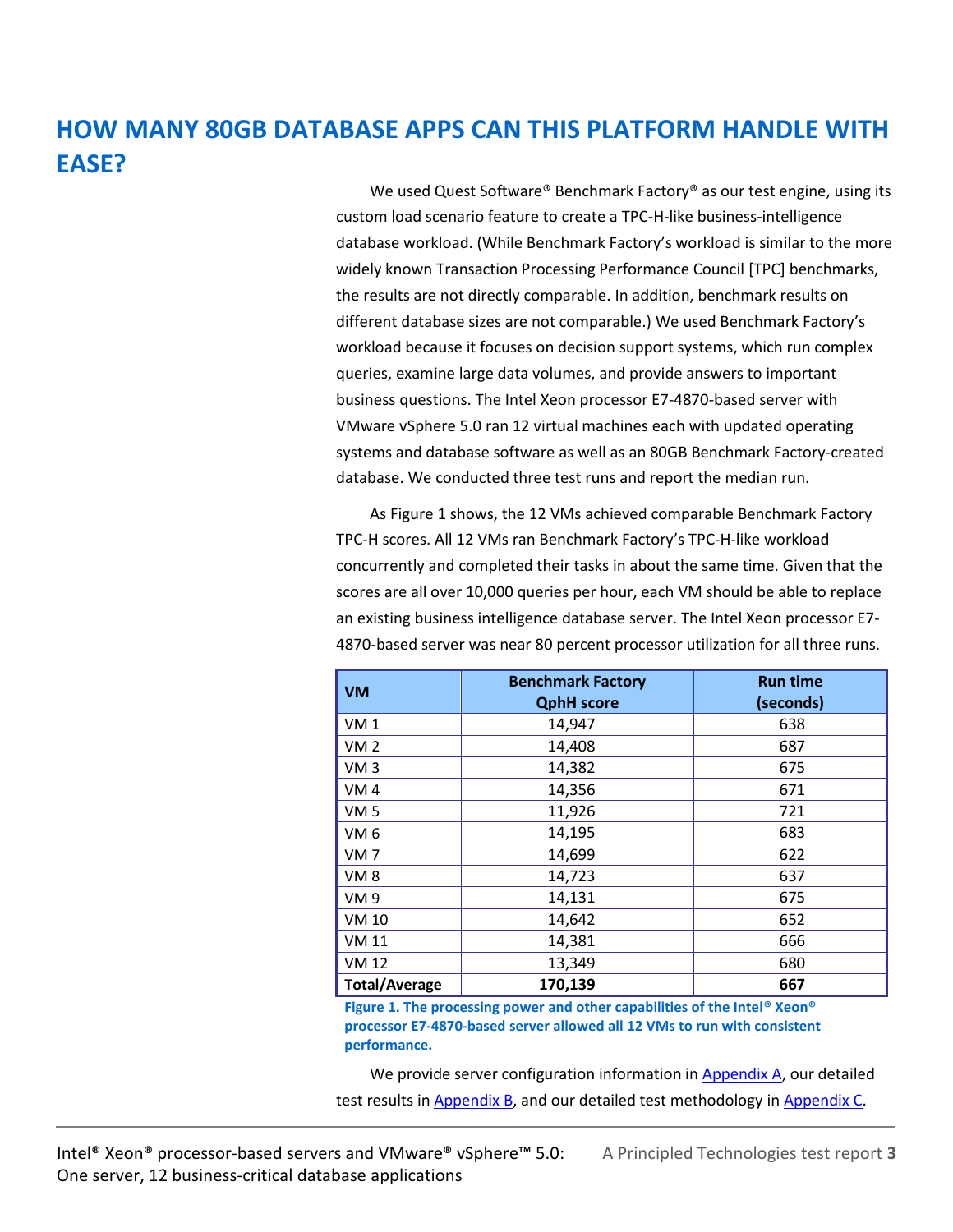# **HOW MANY 80GB DATABASE APPS CAN THIS PLATFORM HANDLE WITH EASE?**

We used Quest Software® Benchmark Factory® as our test engine, using its custom load scenario feature to create a TPC-H-like business-intelligence database workload. (While Benchmark Factory's workload is similar to the more widely known Transaction Processing Performance Council [TPC] benchmarks, the results are not directly comparable. In addition, benchmark results on different database sizes are not comparable.) We used Benchmark Factory's workload because it focuses on decision support systems, which run complex queries, examine large data volumes, and provide answers to important business questions. The Intel Xeon processor E7-4870-based server with VMware vSphere 5.0 ran 12 virtual machines each with updated operating systems and database software as well as an 80GB Benchmark Factory-created database. We conducted three test runs and report the median run.

As Figure 1 shows, the 12 VMs achieved comparable Benchmark Factory TPC-H scores. All 12 VMs ran Benchmark Factory's TPC-H-like workload concurrently and completed their tasks in about the same time. Given that the scores are all over 10,000 queries per hour, each VM should be able to replace an existing business intelligence database server. The Intel Xeon processor E7- 4870-based server was near 80 percent processor utilization for all three runs.

| <b>VM</b>            | <b>Benchmark Factory</b><br><b>QphH</b> score | <b>Run time</b><br>(seconds) |
|----------------------|-----------------------------------------------|------------------------------|
| VM <sub>1</sub>      | 14,947                                        | 638                          |
| VM <sub>2</sub>      | 14,408                                        | 687                          |
| VM3                  | 14,382                                        | 675                          |
| VM <sub>4</sub>      | 14,356                                        | 671                          |
| VM <sub>5</sub>      | 11,926                                        | 721                          |
| VM <sub>6</sub>      | 14,195                                        | 683                          |
| VM <sub>7</sub>      | 14,699                                        | 622                          |
| VM <sub>8</sub>      | 14,723                                        | 637                          |
| <b>VM9</b>           | 14,131                                        | 675                          |
| <b>VM 10</b>         | 14,642                                        | 652                          |
| <b>VM 11</b>         | 14,381                                        | 666                          |
| <b>VM 12</b>         | 13,349                                        | 680                          |
| <b>Total/Average</b> | 170,139                                       | 667                          |

**Figure 1. The processing power and other capabilities of the Intel® Xeon® processor E7-4870-based server allowed all 12 VMs to run with consistent performance.**

We provide server configuration information in [Appendix A,](#page-4-0) our detailed test results in **Appendix B**, and our detailed test methodology in **Appendix C**.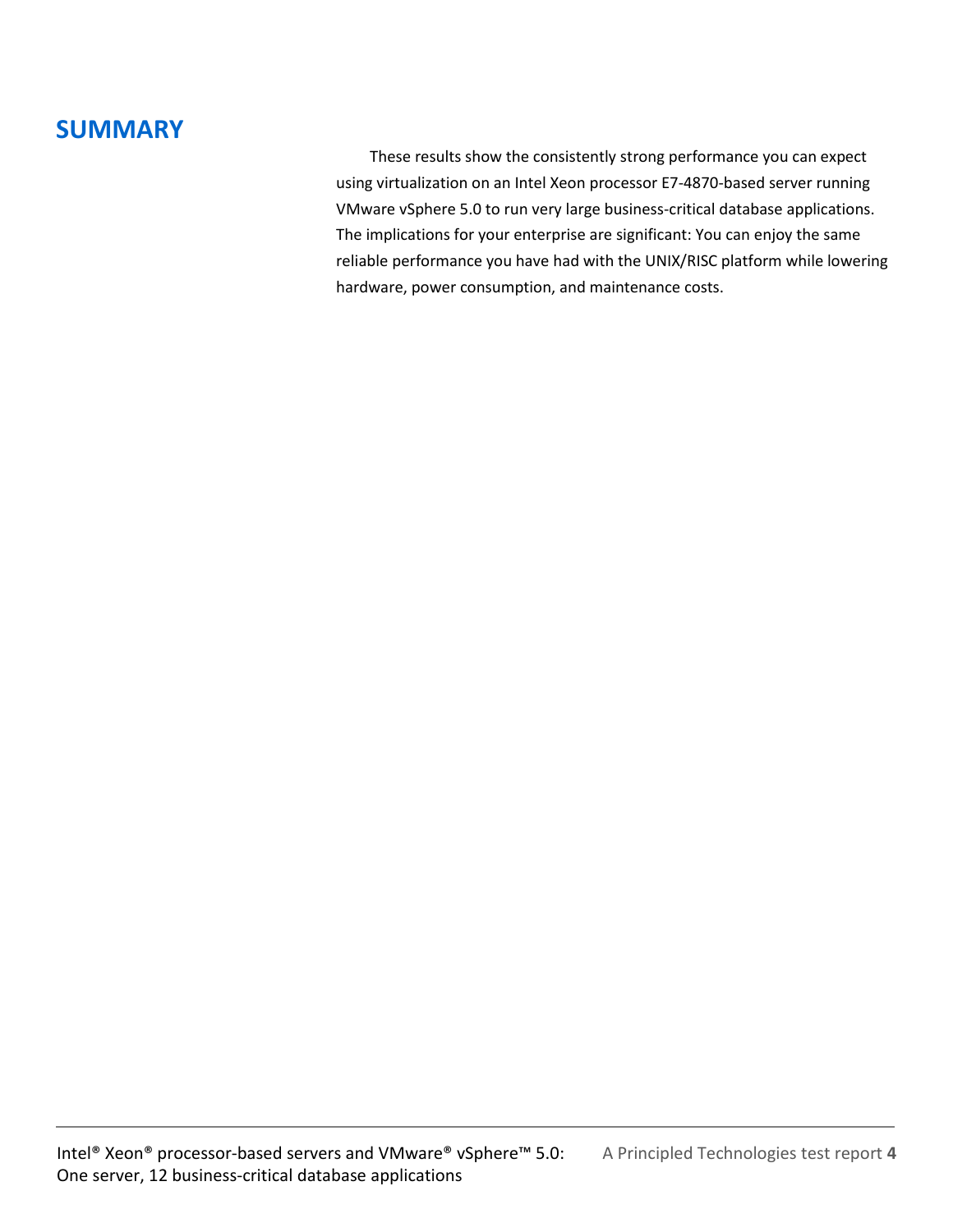# **SUMMARY**

These results show the consistently strong performance you can expect using virtualization on an Intel Xeon processor E7-4870-based server running VMware vSphere 5.0 to run very large business-critical database applications. The implications for your enterprise are significant: You can enjoy the same reliable performance you have had with the UNIX/RISC platform while lowering hardware, power consumption, and maintenance costs.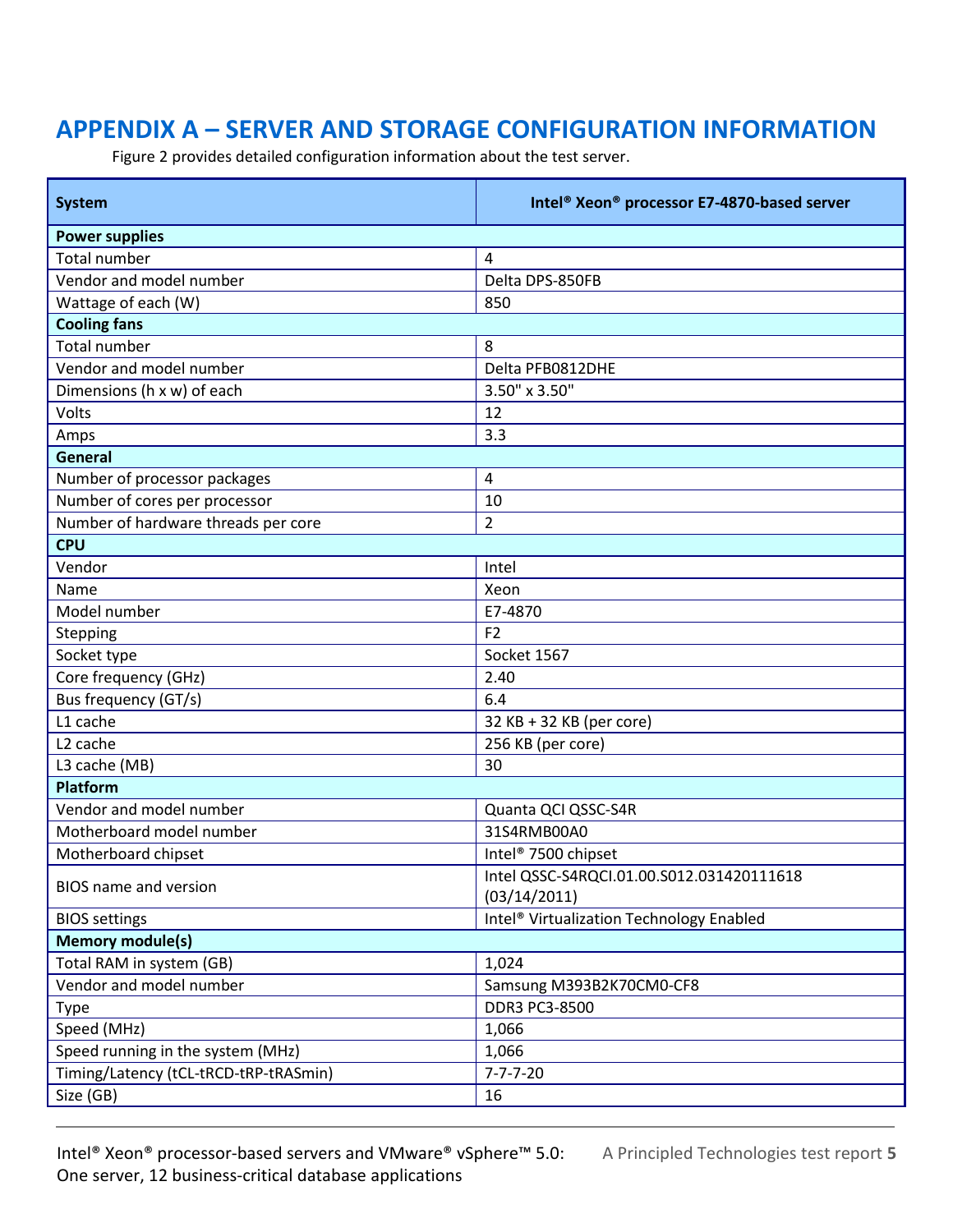# <span id="page-4-0"></span>**APPENDIX A – SERVER AND STORAGE CONFIGURATION INFORMATION**

Figure 2 provides detailed configuration information about the test server.

| <b>System</b>                         | Intel <sup>®</sup> Xeon <sup>®</sup> processor E7-4870-based server |  |  |  |  |
|---------------------------------------|---------------------------------------------------------------------|--|--|--|--|
| <b>Power supplies</b>                 |                                                                     |  |  |  |  |
| <b>Total number</b>                   | 4                                                                   |  |  |  |  |
| Vendor and model number               | Delta DPS-850FB                                                     |  |  |  |  |
| Wattage of each (W)                   | 850                                                                 |  |  |  |  |
| <b>Cooling fans</b>                   |                                                                     |  |  |  |  |
| <b>Total number</b>                   | 8                                                                   |  |  |  |  |
| Vendor and model number               | Delta PFB0812DHE                                                    |  |  |  |  |
| Dimensions (h x w) of each            | 3.50" x 3.50"                                                       |  |  |  |  |
| Volts                                 | 12                                                                  |  |  |  |  |
| Amps                                  | 3.3                                                                 |  |  |  |  |
| General                               |                                                                     |  |  |  |  |
| Number of processor packages          | 4                                                                   |  |  |  |  |
| Number of cores per processor         | 10                                                                  |  |  |  |  |
| Number of hardware threads per core   | $\overline{c}$                                                      |  |  |  |  |
| <b>CPU</b>                            |                                                                     |  |  |  |  |
| Vendor                                | Intel                                                               |  |  |  |  |
| Name                                  | Xeon                                                                |  |  |  |  |
| Model number                          | E7-4870                                                             |  |  |  |  |
| Stepping                              | F <sub>2</sub>                                                      |  |  |  |  |
| Socket type                           | Socket 1567                                                         |  |  |  |  |
| Core frequency (GHz)                  | 2.40                                                                |  |  |  |  |
| Bus frequency (GT/s)                  | 6.4                                                                 |  |  |  |  |
| L1 cache                              | 32 KB + 32 KB (per core)                                            |  |  |  |  |
| L <sub>2</sub> cache                  | 256 KB (per core)                                                   |  |  |  |  |
| L3 cache (MB)                         | 30                                                                  |  |  |  |  |
| Platform                              |                                                                     |  |  |  |  |
| Vendor and model number               | Quanta QCI QSSC-S4R                                                 |  |  |  |  |
| Motherboard model number              | 31S4RMB00A0                                                         |  |  |  |  |
| Motherboard chipset                   | Intel <sup>®</sup> 7500 chipset                                     |  |  |  |  |
|                                       | Intel QSSC-S4RQCI.01.00.S012.031420111618                           |  |  |  |  |
| BIOS name and version                 | (03/14/2011)                                                        |  |  |  |  |
| <b>BIOS</b> settings                  | Intel <sup>®</sup> Virtualization Technology Enabled                |  |  |  |  |
| <b>Memory module(s)</b>               |                                                                     |  |  |  |  |
| Total RAM in system (GB)              | 1,024                                                               |  |  |  |  |
| Vendor and model number               | Samsung M393B2K70CM0-CF8                                            |  |  |  |  |
| <b>Type</b>                           | DDR3 PC3-8500                                                       |  |  |  |  |
| Speed (MHz)                           | 1,066                                                               |  |  |  |  |
| Speed running in the system (MHz)     | 1,066                                                               |  |  |  |  |
| Timing/Latency (tCL-tRCD-tRP-tRASmin) | $7 - 7 - 7 - 20$                                                    |  |  |  |  |
| Size (GB)                             | 16                                                                  |  |  |  |  |

Intel® Xeon® processor-based servers and VMware® vSphere™ 5.0: A Principled Technologies test report **5** One server, 12 business-critical database applications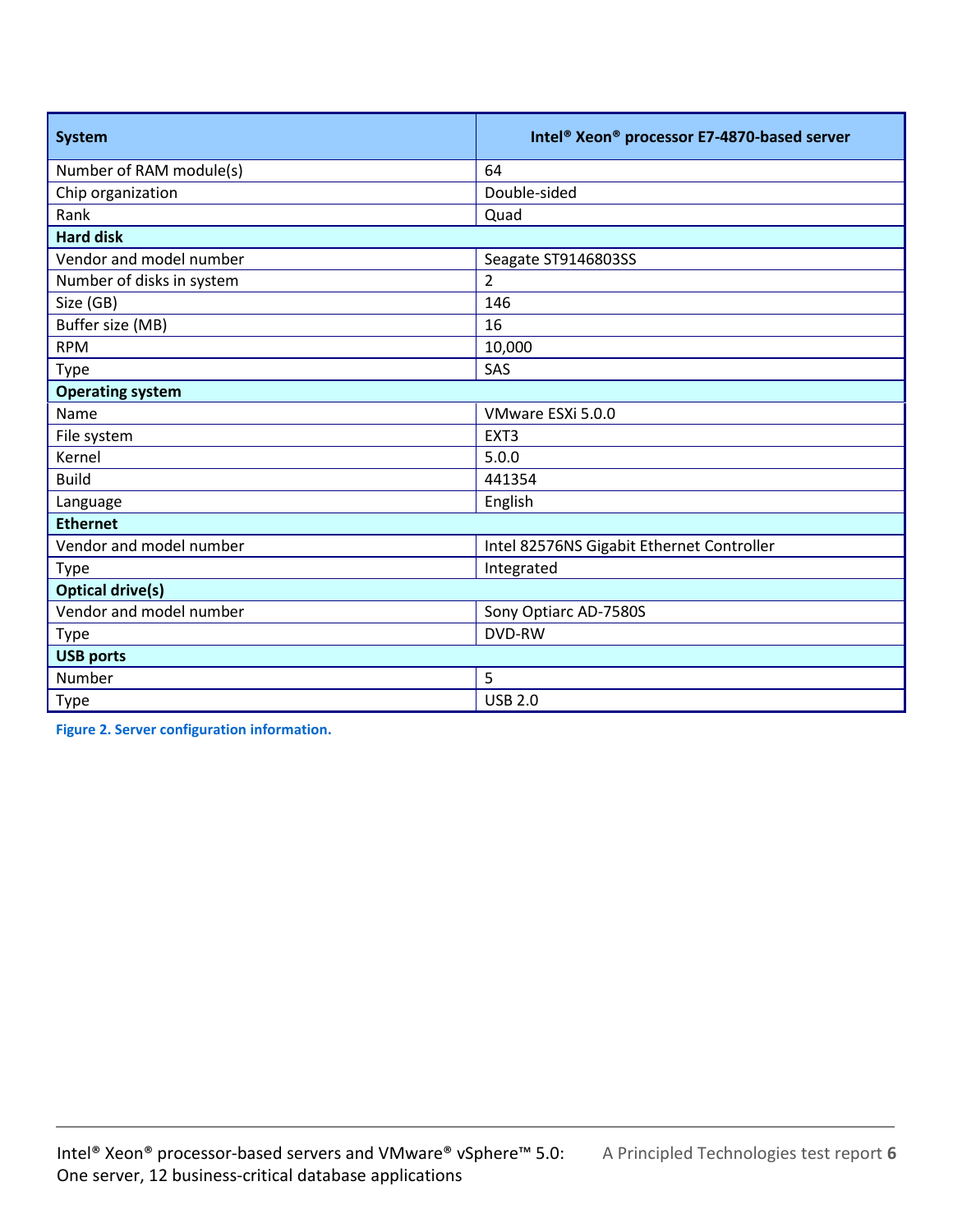| <b>System</b>             | Intel <sup>®</sup> Xeon <sup>®</sup> processor E7-4870-based server |  |  |  |
|---------------------------|---------------------------------------------------------------------|--|--|--|
| Number of RAM module(s)   | 64                                                                  |  |  |  |
| Chip organization         | Double-sided                                                        |  |  |  |
| Rank                      | Quad                                                                |  |  |  |
| <b>Hard disk</b>          |                                                                     |  |  |  |
| Vendor and model number   | Seagate ST9146803SS                                                 |  |  |  |
| Number of disks in system | $\overline{2}$                                                      |  |  |  |
| Size (GB)                 | 146                                                                 |  |  |  |
| Buffer size (MB)          | 16                                                                  |  |  |  |
| <b>RPM</b>                | 10,000                                                              |  |  |  |
| <b>Type</b>               | SAS                                                                 |  |  |  |
| <b>Operating system</b>   |                                                                     |  |  |  |
| Name                      | VMware ESXi 5.0.0                                                   |  |  |  |
| File system               | EXT <sub>3</sub>                                                    |  |  |  |
| Kernel                    | 5.0.0                                                               |  |  |  |
| <b>Build</b>              | 441354                                                              |  |  |  |
| Language                  | English                                                             |  |  |  |
| <b>Ethernet</b>           |                                                                     |  |  |  |
| Vendor and model number   | Intel 82576NS Gigabit Ethernet Controller                           |  |  |  |
| Integrated<br>Type        |                                                                     |  |  |  |
| <b>Optical drive(s)</b>   |                                                                     |  |  |  |
| Vendor and model number   | Sony Optiarc AD-7580S                                               |  |  |  |
| Type                      | <b>DVD-RW</b>                                                       |  |  |  |
| <b>USB ports</b>          |                                                                     |  |  |  |
| Number                    | 5                                                                   |  |  |  |
| <b>Type</b>               | <b>USB 2.0</b>                                                      |  |  |  |

**Figure 2. Server configuration information.**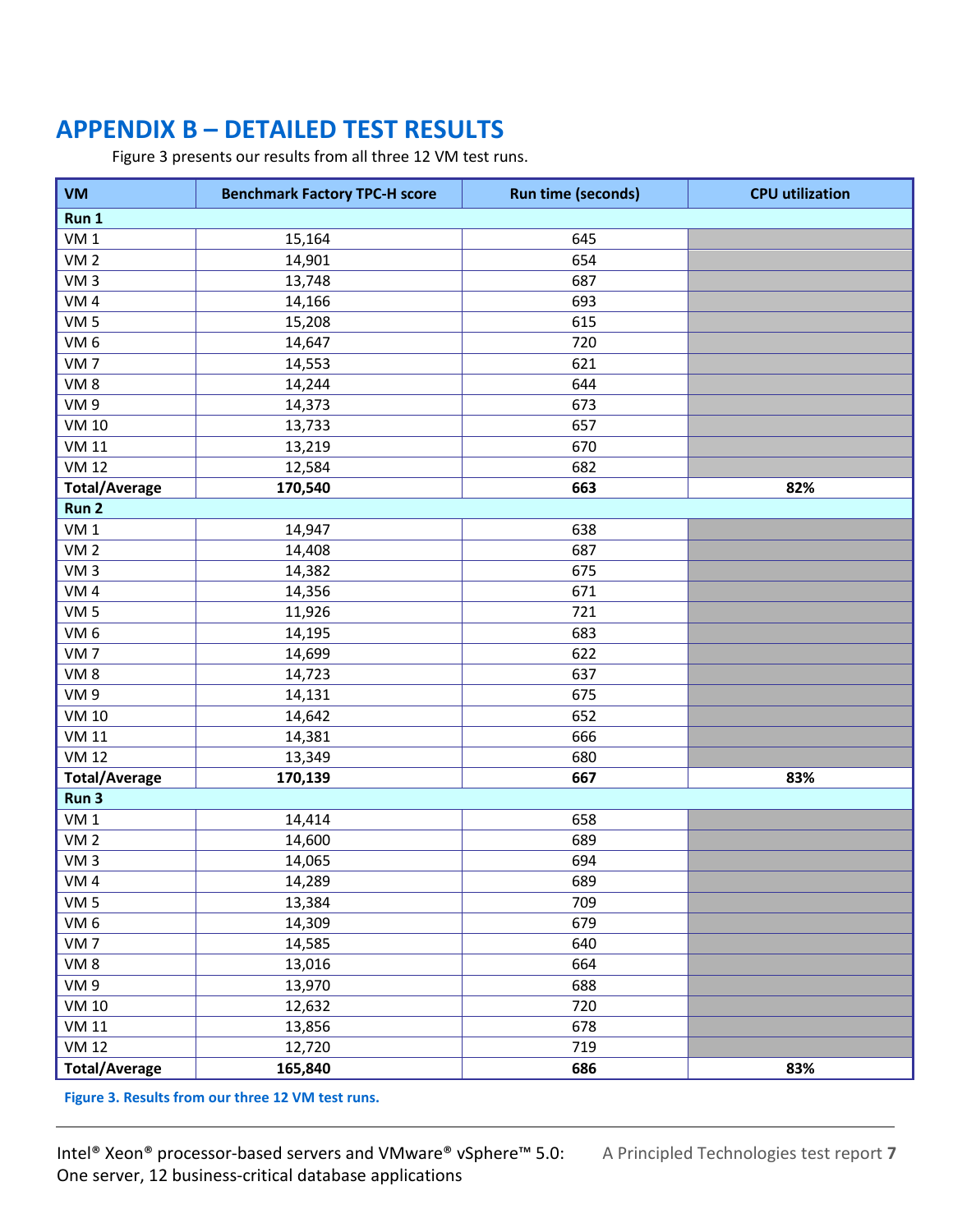# <span id="page-6-0"></span>**APPENDIX B – DETAILED TEST RESULTS**

Figure 3 presents our results from all three 12 VM test runs.

| <b>VM</b>            | <b>Benchmark Factory TPC-H score</b> | <b>Run time (seconds)</b> | <b>CPU</b> utilization |
|----------------------|--------------------------------------|---------------------------|------------------------|
| Run 1                |                                      |                           |                        |
| VM <sub>1</sub>      | 15,164                               | 645                       |                        |
| VM <sub>2</sub>      | 14,901                               | 654                       |                        |
| VM <sub>3</sub>      | 13,748                               | 687                       |                        |
| VM <sub>4</sub>      | 14,166                               | 693                       |                        |
| VM <sub>5</sub>      | 15,208                               | 615                       |                        |
| VM <sub>6</sub>      | 14,647                               | 720                       |                        |
| VM <sub>7</sub>      | 14,553                               | 621                       |                        |
| VM <sub>8</sub>      | 14,244                               | 644                       |                        |
| VM <sub>9</sub>      | 14,373                               | 673                       |                        |
| <b>VM 10</b>         | 13,733                               | 657                       |                        |
| <b>VM 11</b>         | 13,219                               | 670                       |                        |
| <b>VM 12</b>         | 12,584                               | 682                       |                        |
| <b>Total/Average</b> | 170,540                              | 663                       | 82%                    |
| Run 2                |                                      |                           |                        |
| VM <sub>1</sub>      | 14,947                               | 638                       |                        |
| VM <sub>2</sub>      | 14,408                               | 687                       |                        |
| VM <sub>3</sub>      | 14,382                               | 675                       |                        |
| VM <sub>4</sub>      | 14,356                               | 671                       |                        |
| VM <sub>5</sub>      | 11,926                               | 721                       |                        |
| VM <sub>6</sub>      | 14,195                               | 683                       |                        |
| VM <sub>7</sub>      | 14,699                               | 622                       |                        |
| VM <sub>8</sub>      | 14,723                               | 637                       |                        |
| VM <sub>9</sub>      | 14,131                               | 675                       |                        |
| <b>VM 10</b>         | 14,642                               | 652                       |                        |
| <b>VM 11</b>         | 14,381                               | 666                       |                        |
| <b>VM 12</b>         | 13,349                               | 680                       |                        |
| <b>Total/Average</b> | 170,139                              | 667                       | 83%                    |
| Run 3                |                                      |                           |                        |
| VM <sub>1</sub>      | 14,414                               | 658                       |                        |
| VM <sub>2</sub>      | 14,600                               | 689                       |                        |
| VM <sub>3</sub>      | 14,065                               | 694                       |                        |
| VM4                  | 14,289                               | 689                       |                        |
| VM <sub>5</sub>      | 13,384                               | 709                       |                        |
| VM <sub>6</sub>      | 14,309                               | 679                       |                        |
| VM <sub>7</sub>      | 14,585                               | 640                       |                        |
| VM <sub>8</sub>      | 13,016                               | 664                       |                        |
| VM <sub>9</sub>      | 13,970                               | 688                       |                        |
| <b>VM 10</b>         | 12,632                               | 720                       |                        |
| <b>VM 11</b>         | 13,856                               | 678                       |                        |
| <b>VM 12</b>         | 12,720                               | 719                       |                        |
| <b>Total/Average</b> | 165,840                              | 686                       | 83%                    |

**Figure 3. Results from our three 12 VM test runs.**

Intel® Xeon® processor-based servers and VMware® vSphere™ 5.0: A Principled Technologies test report **7** One server, 12 business-critical database applications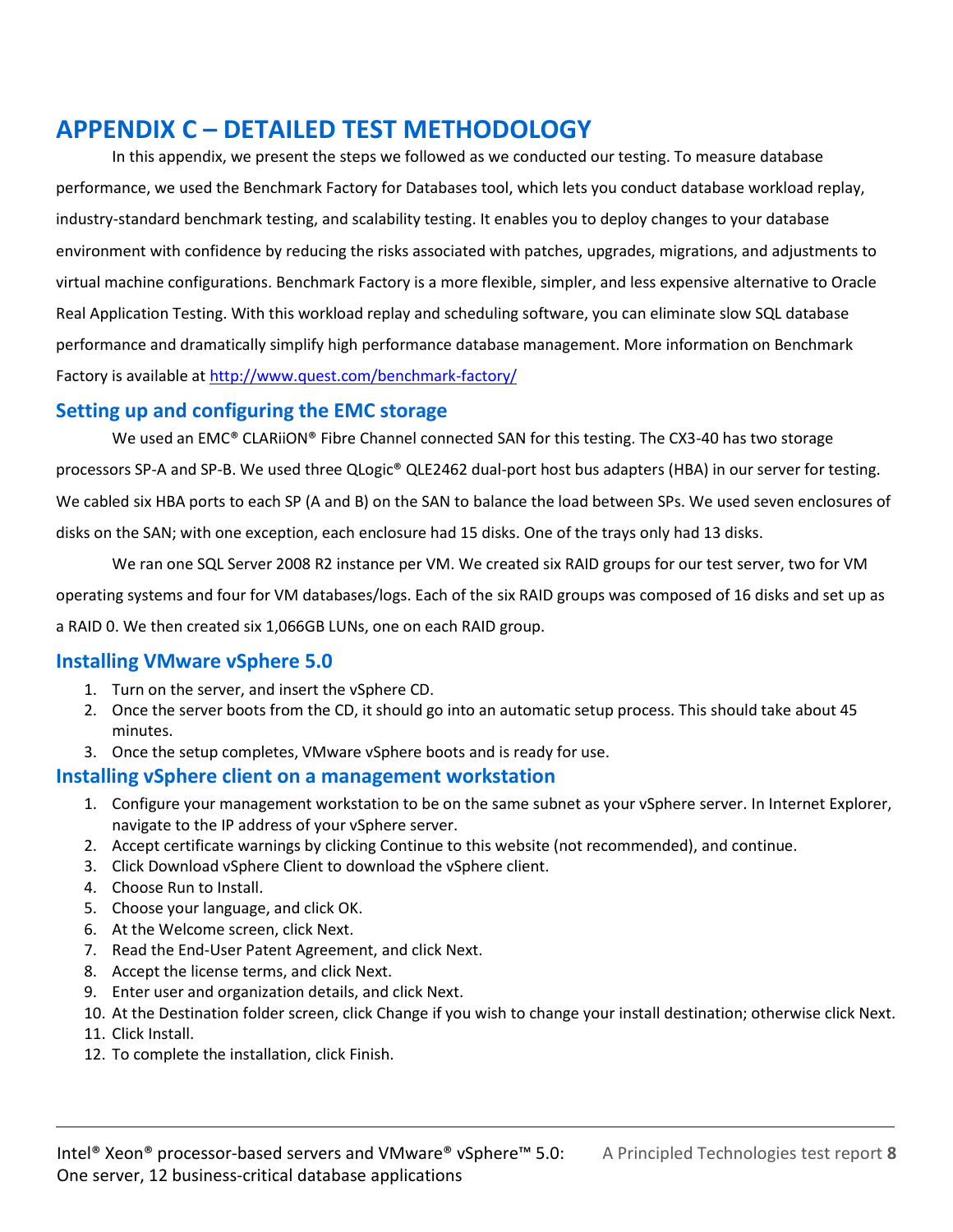# <span id="page-7-0"></span>**APPENDIX C – DETAILED TEST METHODOLOGY**

In this appendix, we present the steps we followed as we conducted our testing. To measure database performance, we used the Benchmark Factory for Databases tool, which lets you conduct database workload replay, industry-standard benchmark testing, and scalability testing. It enables you to deploy changes to your database environment with confidence by reducing the risks associated with patches, upgrades, migrations, and adjustments to virtual machine configurations. Benchmark Factory is a more flexible, simpler, and less expensive alternative to Oracle Real Application Testing. With this workload replay and scheduling software, you can eliminate slow SQL database performance and dramatically simplify high performance database management. More information on Benchmark Factory is available a[t http://www.quest.com/benchmark-factory/](http://www.quest.com/benchmark-factory/)

#### **Setting up and configuring the EMC storage**

We used an EMC® CLARiiON® Fibre Channel connected SAN for this testing. The CX3-40 has two storage processors SP-A and SP-B. We used three QLogic® QLE2462 dual-port host bus adapters (HBA) in our server for testing. We cabled six HBA ports to each SP (A and B) on the SAN to balance the load between SPs. We used seven enclosures of disks on the SAN; with one exception, each enclosure had 15 disks. One of the trays only had 13 disks.

We ran one SQL Server 2008 R2 instance per VM. We created six RAID groups for our test server, two for VM operating systems and four for VM databases/logs. Each of the six RAID groups was composed of 16 disks and set up as a RAID 0. We then created six 1,066GB LUNs, one on each RAID group.

#### **Installing VMware vSphere 5.0**

- 1. Turn on the server, and insert the vSphere CD.
- 2. Once the server boots from the CD, it should go into an automatic setup process. This should take about 45 minutes.
- 3. Once the setup completes, VMware vSphere boots and is ready for use.

#### **Installing vSphere client on a management workstation**

- 1. Configure your management workstation to be on the same subnet as your vSphere server. In Internet Explorer, navigate to the IP address of your vSphere server.
- 2. Accept certificate warnings by clicking Continue to this website (not recommended), and continue.
- 3. Click Download vSphere Client to download the vSphere client.
- 4. Choose Run to Install.
- 5. Choose your language, and click OK.
- 6. At the Welcome screen, click Next.
- 7. Read the End-User Patent Agreement, and click Next.
- 8. Accept the license terms, and click Next.
- 9. Enter user and organization details, and click Next.
- 10. At the Destination folder screen, click Change if you wish to change your install destination; otherwise click Next.
- 11. Click Install.
- 12. To complete the installation, click Finish.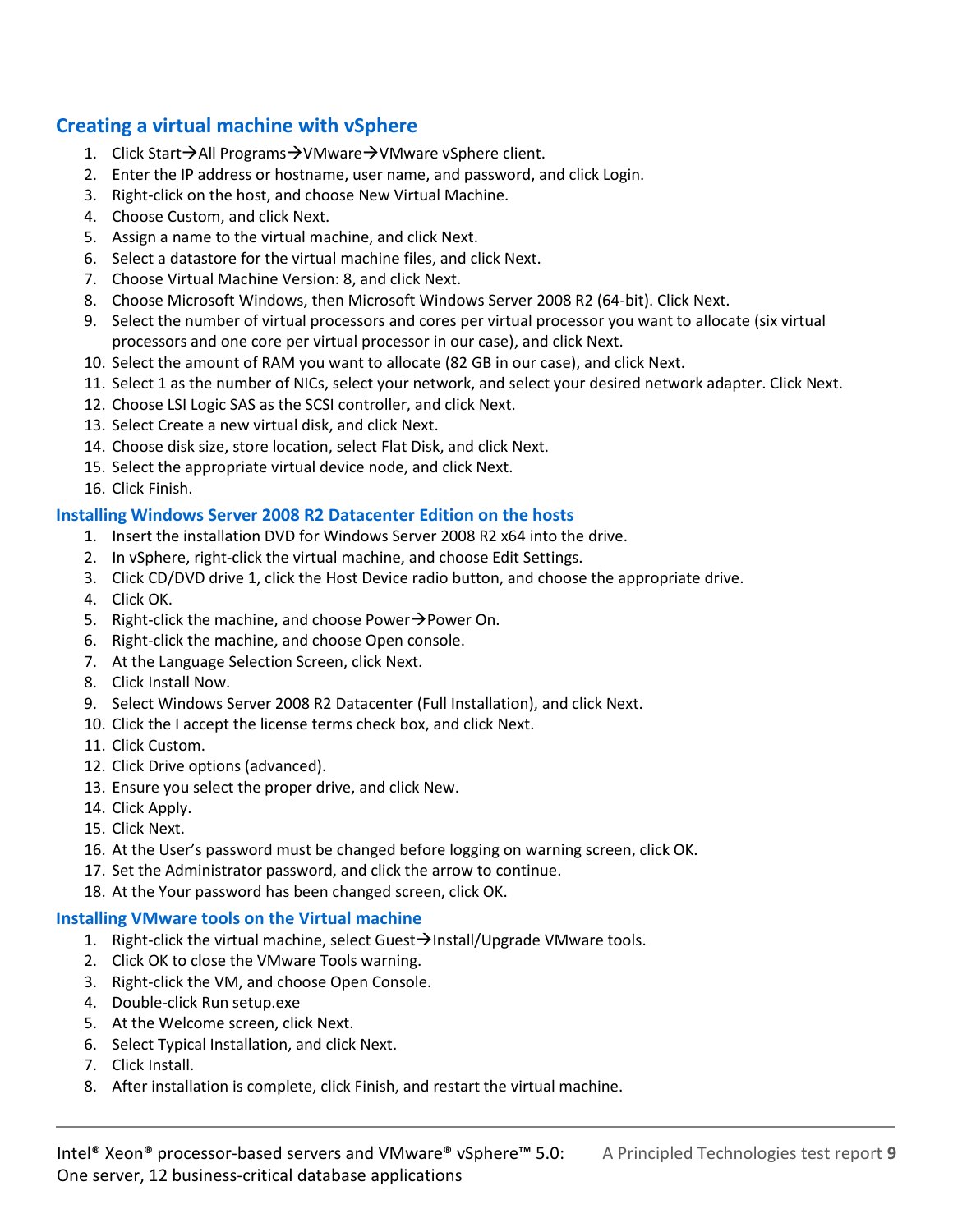#### **Creating a virtual machine with vSphere**

- 1. Click Start→All Programs→VMware→VMware vSphere client.
- 2. Enter the IP address or hostname, user name, and password, and click Login.
- 3. Right-click on the host, and choose New Virtual Machine.
- 4. Choose Custom, and click Next.
- 5. Assign a name to the virtual machine, and click Next.
- 6. Select a datastore for the virtual machine files, and click Next.
- 7. Choose Virtual Machine Version: 8, and click Next.
- 8. Choose Microsoft Windows, then Microsoft Windows Server 2008 R2 (64-bit). Click Next.
- 9. Select the number of virtual processors and cores per virtual processor you want to allocate (six virtual processors and one core per virtual processor in our case), and click Next.
- 10. Select the amount of RAM you want to allocate (82 GB in our case), and click Next.
- 11. Select 1 as the number of NICs, select your network, and select your desired network adapter. Click Next.
- 12. Choose LSI Logic SAS as the SCSI controller, and click Next.
- 13. Select Create a new virtual disk, and click Next.
- 14. Choose disk size, store location, select Flat Disk, and click Next.
- 15. Select the appropriate virtual device node, and click Next.
- 16. Click Finish.

#### **Installing Windows Server 2008 R2 Datacenter Edition on the hosts**

- 1. Insert the installation DVD for Windows Server 2008 R2 x64 into the drive.
- 2. In vSphere, right-click the virtual machine, and choose Edit Settings.
- 3. Click CD/DVD drive 1, click the Host Device radio button, and choose the appropriate drive.
- 4. Click OK.
- 5. Right-click the machine, and choose Power $\rightarrow$ Power On.
- 6. Right-click the machine, and choose Open console.
- 7. At the Language Selection Screen, click Next.
- 8. Click Install Now.
- 9. Select Windows Server 2008 R2 Datacenter (Full Installation), and click Next.
- 10. Click the I accept the license terms check box, and click Next.
- 11. Click Custom.
- 12. Click Drive options (advanced).
- 13. Ensure you select the proper drive, and click New.
- 14. Click Apply.
- 15. Click Next.
- 16. At the User's password must be changed before logging on warning screen, click OK.
- 17. Set the Administrator password, and click the arrow to continue.
- 18. At the Your password has been changed screen, click OK.

#### **Installing VMware tools on the Virtual machine**

- 1. Right-click the virtual machine, select Guest $\rightarrow$ Install/Upgrade VMware tools.
- 2. Click OK to close the VMware Tools warning.
- 3. Right-click the VM, and choose Open Console.
- 4. Double-click Run setup.exe
- 5. At the Welcome screen, click Next.
- 6. Select Typical Installation, and click Next.
- 7. Click Install.
- 8. After installation is complete, click Finish, and restart the virtual machine.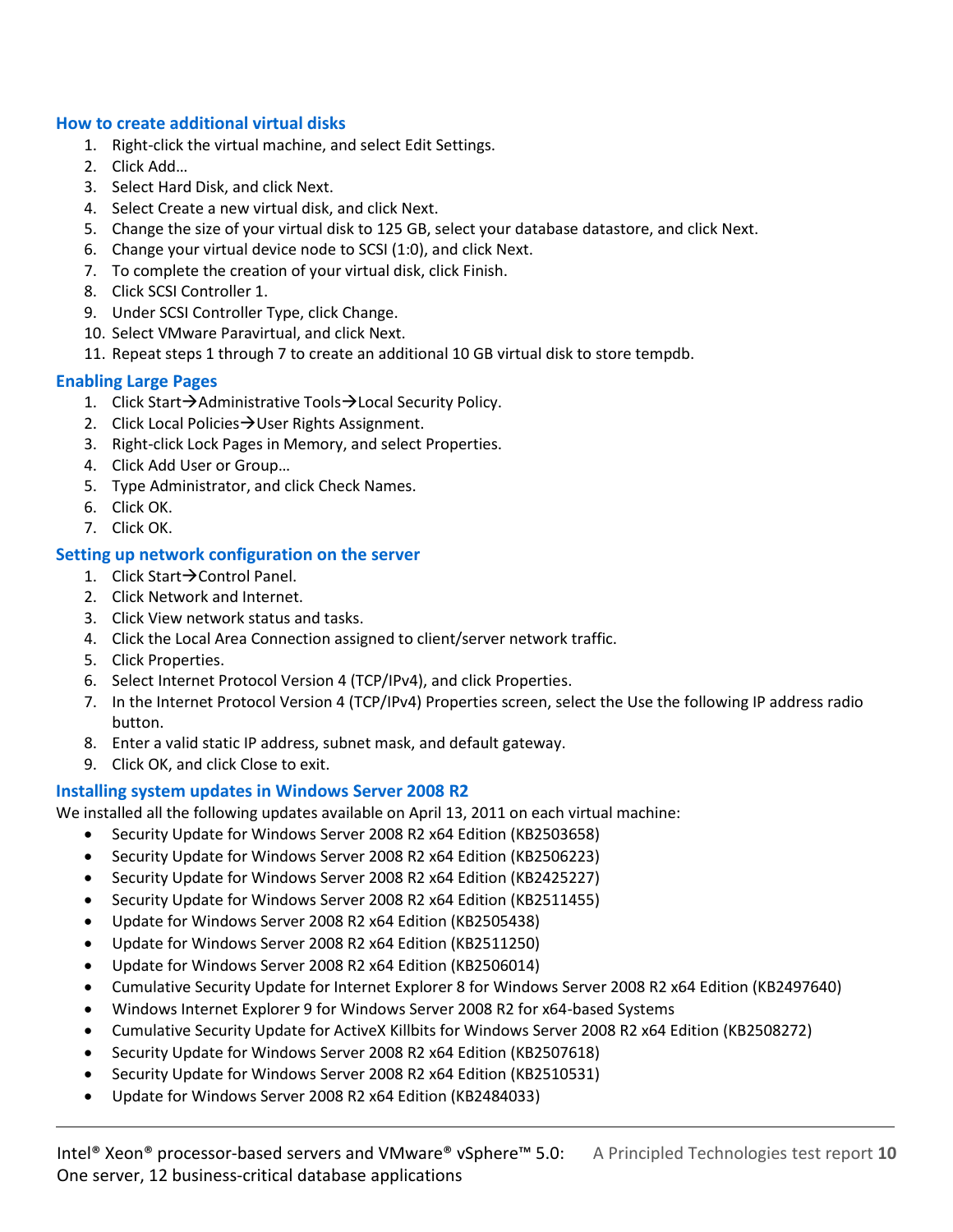#### **How to create additional virtual disks**

- 1. Right-click the virtual machine, and select Edit Settings.
- 2. Click Add…
- 3. Select Hard Disk, and click Next.
- 4. Select Create a new virtual disk, and click Next.
- 5. Change the size of your virtual disk to 125 GB, select your database datastore, and click Next.
- 6. Change your virtual device node to SCSI (1:0), and click Next.
- 7. To complete the creation of your virtual disk, click Finish.
- 8. Click SCSI Controller 1.
- 9. Under SCSI Controller Type, click Change.
- 10. Select VMware Paravirtual, and click Next.
- 11. Repeat steps 1 through 7 to create an additional 10 GB virtual disk to store tempdb.

#### **Enabling Large Pages**

- 1. Click Start $\rightarrow$ Administrative Tools $\rightarrow$ Local Security Policy.
- 2. Click Local Policies  $\rightarrow$  User Rights Assignment.
- 3. Right-click Lock Pages in Memory, and select Properties.
- 4. Click Add User or Group…
- 5. Type Administrator, and click Check Names.
- 6. Click OK.
- 7. Click OK.

#### **Setting up network configuration on the server**

- 1. Click Start $\rightarrow$  Control Panel.
- 2. Click Network and Internet.
- 3. Click View network status and tasks.
- 4. Click the Local Area Connection assigned to client/server network traffic.
- 5. Click Properties.
- 6. Select Internet Protocol Version 4 (TCP/IPv4), and click Properties.
- 7. In the Internet Protocol Version 4 (TCP/IPv4) Properties screen, select the Use the following IP address radio button.
- 8. Enter a valid static IP address, subnet mask, and default gateway.
- 9. Click OK, and click Close to exit.

#### **Installing system updates in Windows Server 2008 R2**

We installed all the following updates available on April 13, 2011 on each virtual machine:

- Security Update for Windows Server 2008 R2 x64 Edition (KB2503658)
- Security Update for Windows Server 2008 R2 x64 Edition (KB2506223)
- Security Update for Windows Server 2008 R2 x64 Edition (KB2425227)
- Security Update for Windows Server 2008 R2 x64 Edition (KB2511455)
- Update for Windows Server 2008 R2 x64 Edition (KB2505438)
- Update for Windows Server 2008 R2 x64 Edition (KB2511250)
- Update for Windows Server 2008 R2 x64 Edition (KB2506014)
- Cumulative Security Update for Internet Explorer 8 for Windows Server 2008 R2 x64 Edition (KB2497640)
- Windows Internet Explorer 9 for Windows Server 2008 R2 for x64-based Systems
- Cumulative Security Update for ActiveX Killbits for Windows Server 2008 R2 x64 Edition (KB2508272)
- Security Update for Windows Server 2008 R2 x64 Edition (KB2507618)
- Security Update for Windows Server 2008 R2 x64 Edition (KB2510531)
- Update for Windows Server 2008 R2 x64 Edition (KB2484033)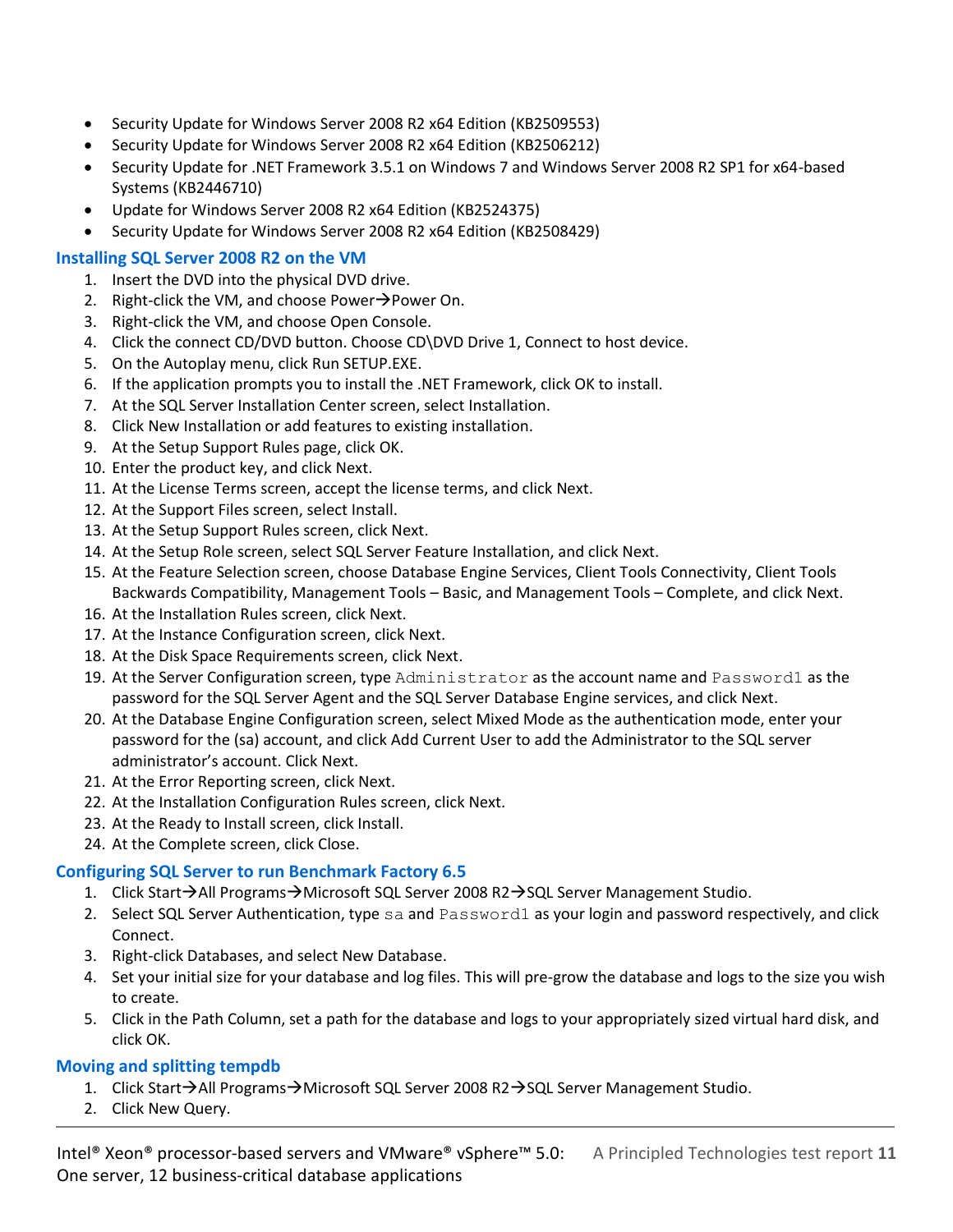- Security Update for Windows Server 2008 R2 x64 Edition (KB2509553)
- Security Update for Windows Server 2008 R2 x64 Edition (KB2506212)
- Security Update for .NET Framework 3.5.1 on Windows 7 and Windows Server 2008 R2 SP1 for x64-based Systems (KB2446710)
- Update for Windows Server 2008 R2 x64 Edition (KB2524375)
- Security Update for Windows Server 2008 R2 x64 Edition (KB2508429)

#### **Installing SQL Server 2008 R2 on the VM**

- 1. Insert the DVD into the physical DVD drive.
- 2. Right-click the VM, and choose Power $\rightarrow$ Power On.
- 3. Right-click the VM, and choose Open Console.
- 4. Click the connect CD/DVD button. Choose CD\DVD Drive 1, Connect to host device.
- 5. On the Autoplay menu, click Run SETUP.EXE.
- 6. If the application prompts you to install the .NET Framework, click OK to install.
- 7. At the SQL Server Installation Center screen, select Installation.
- 8. Click New Installation or add features to existing installation.
- 9. At the Setup Support Rules page, click OK.
- 10. Enter the product key, and click Next.
- 11. At the License Terms screen, accept the license terms, and click Next.
- 12. At the Support Files screen, select Install.
- 13. At the Setup Support Rules screen, click Next.
- 14. At the Setup Role screen, select SQL Server Feature Installation, and click Next.
- 15. At the Feature Selection screen, choose Database Engine Services, Client Tools Connectivity, Client Tools Backwards Compatibility, Management Tools – Basic, and Management Tools – Complete, and click Next.
- 16. At the Installation Rules screen, click Next.
- 17. At the Instance Configuration screen, click Next.
- 18. At the Disk Space Requirements screen, click Next.
- 19. At the Server Configuration screen, type Administrator as the account name and Password1 as the password for the SQL Server Agent and the SQL Server Database Engine services, and click Next.
- 20. At the Database Engine Configuration screen, select Mixed Mode as the authentication mode, enter your password for the (sa) account, and click Add Current User to add the Administrator to the SQL server administrator's account. Click Next.
- 21. At the Error Reporting screen, click Next.
- 22. At the Installation Configuration Rules screen, click Next.
- 23. At the Ready to Install screen, click Install.
- 24. At the Complete screen, click Close.

#### **Configuring SQL Server to run Benchmark Factory 6.5**

- 1. Click Start $\rightarrow$ All Programs $\rightarrow$ Microsoft SQL Server 2008 R2 $\rightarrow$ SQL Server Management Studio.
- 2. Select SQL Server Authentication, type sa and Password1 as your login and password respectively, and click Connect.
- 3. Right-click Databases, and select New Database.
- 4. Set your initial size for your database and log files. This will pre-grow the database and logs to the size you wish to create.
- 5. Click in the Path Column, set a path for the database and logs to your appropriately sized virtual hard disk, and click OK.

#### **Moving and splitting tempdb**

- 1. Click Start $\rightarrow$ All Programs $\rightarrow$ Microsoft SQL Server 2008 R2 $\rightarrow$ SQL Server Management Studio.
- 2. Click New Query.

Intel® Xeon® processor-based servers and VMware® vSphere™ 5.0: A Principled Technologies test report **11** One server, 12 business-critical database applications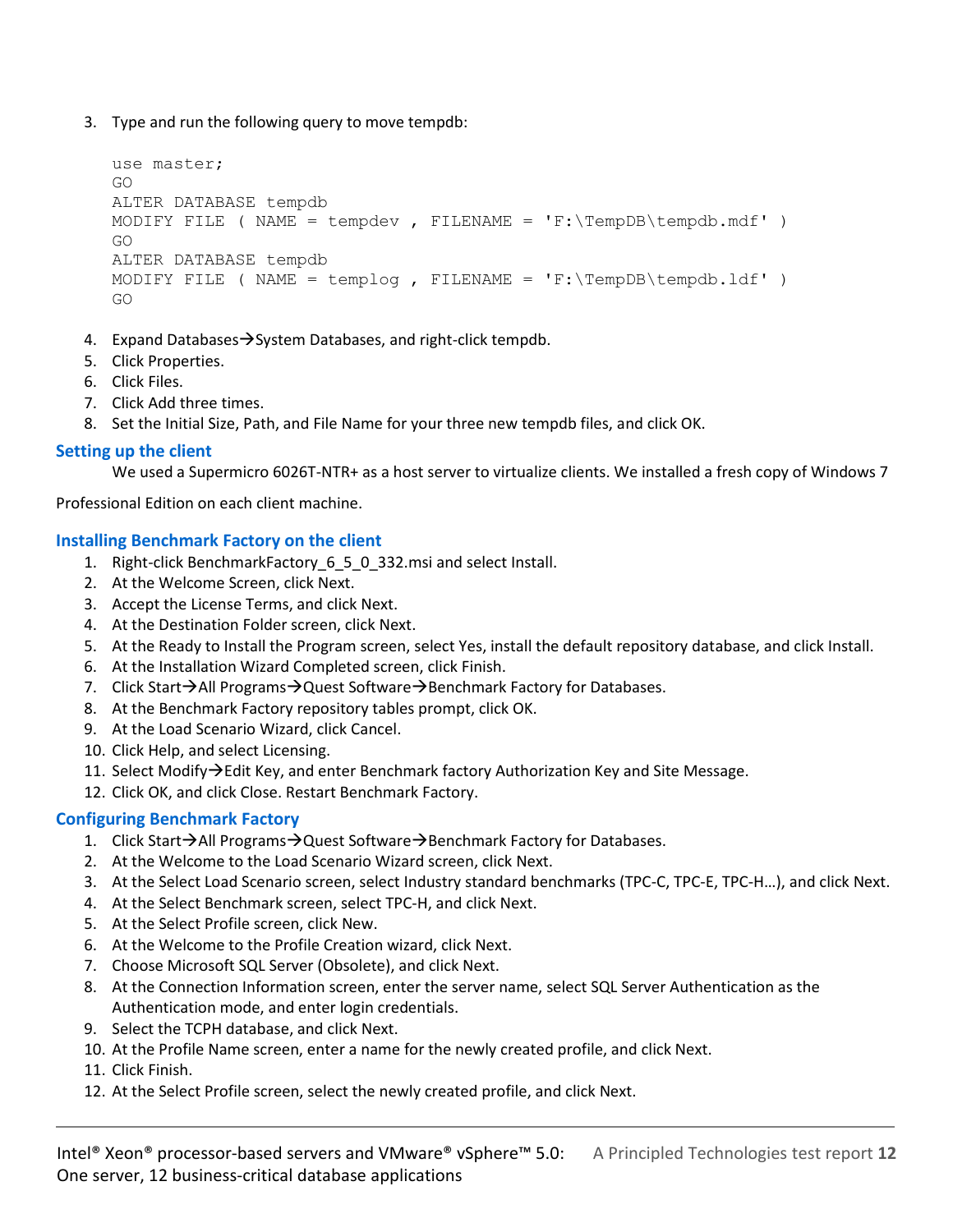3. Type and run the following query to move tempdb:

```
use master;
GO
ALTER DATABASE tempdb 
MODIFY FILE ( NAME = tempdev , FILENAME = 'F:\TempDB\tempbb.mdf' )
GO
ALTER DATABASE tempdb 
MODIFY FILE ( NAME = templog, FILENAME = 'F:\TempDB\tempbb.1df' )
GO
```
- 4. Expand Databases  $\rightarrow$  System Databases, and right-click tempdb.
- 5. Click Properties.
- 6. Click Files.
- 7. Click Add three times.
- 8. Set the Initial Size, Path, and File Name for your three new tempdb files, and click OK.

#### **Setting up the client**

We used a Supermicro 6026T-NTR+ as a host server to virtualize clients. We installed a fresh copy of Windows 7

Professional Edition on each client machine.

#### **Installing Benchmark Factory on the client**

- 1. Right-click BenchmarkFactory\_6\_5\_0\_332.msi and select Install.
- 2. At the Welcome Screen, click Next.
- 3. Accept the License Terms, and click Next.
- 4. At the Destination Folder screen, click Next.
- 5. At the Ready to Install the Program screen, select Yes, install the default repository database, and click Install.
- 6. At the Installation Wizard Completed screen, click Finish.
- 7. Click Start $\rightarrow$ All Programs $\rightarrow$ Quest Software $\rightarrow$ Benchmark Factory for Databases.
- 8. At the Benchmark Factory repository tables prompt, click OK.
- 9. At the Load Scenario Wizard, click Cancel.
- 10. Click Help, and select Licensing.
- 11. Select Modify $\rightarrow$ Edit Key, and enter Benchmark factory Authorization Key and Site Message.
- 12. Click OK, and click Close. Restart Benchmark Factory.

#### **Configuring Benchmark Factory**

- 1. Click Start $\rightarrow$ All Programs $\rightarrow$ Quest Software $\rightarrow$ Benchmark Factory for Databases.
- 2. At the Welcome to the Load Scenario Wizard screen, click Next.
- 3. At the Select Load Scenario screen, select Industry standard benchmarks (TPC-C, TPC-E, TPC-H…), and click Next.
- 4. At the Select Benchmark screen, select TPC-H, and click Next.
- 5. At the Select Profile screen, click New.
- 6. At the Welcome to the Profile Creation wizard, click Next.
- 7. Choose Microsoft SQL Server (Obsolete), and click Next.
- 8. At the Connection Information screen, enter the server name, select SQL Server Authentication as the Authentication mode, and enter login credentials.
- 9. Select the TCPH database, and click Next.
- 10. At the Profile Name screen, enter a name for the newly created profile, and click Next.
- 11. Click Finish.
- 12. At the Select Profile screen, select the newly created profile, and click Next.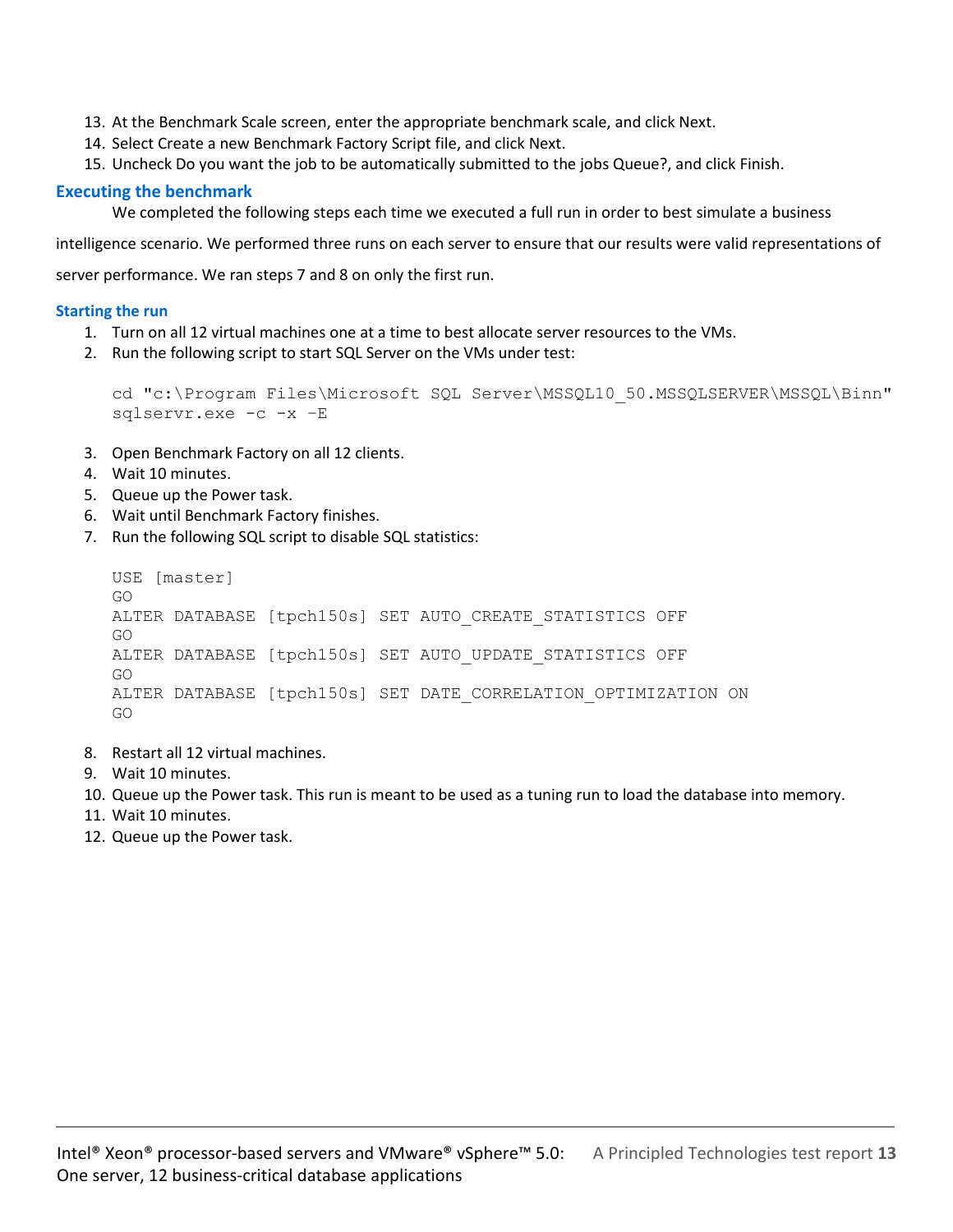- 13. At the Benchmark Scale screen, enter the appropriate benchmark scale, and click Next.
- 14. Select Create a new Benchmark Factory Script file, and click Next.
- 15. Uncheck Do you want the job to be automatically submitted to the jobs Queue?, and click Finish.

#### **Executing the benchmark**

We completed the following steps each time we executed a full run in order to best simulate a business

intelligence scenario. We performed three runs on each server to ensure that our results were valid representations of

server performance. We ran steps 7 and 8 on only the first run.

#### **Starting the run**

- 1. Turn on all 12 virtual machines one at a time to best allocate server resources to the VMs.
- 2. Run the following script to start SQL Server on the VMs under test:

```
cd "c:\Program Files\Microsoft SQL Server\MSSQL10_50.MSSQLSERVER\MSSQL\Binn" 
sqlservr.exe -c -x –E
```
- 3. Open Benchmark Factory on all 12 clients.
- 4. Wait 10 minutes.
- 5. Queue up the Power task.
- 6. Wait until Benchmark Factory finishes.
- 7. Run the following SQL script to disable SQL statistics:

```
USE [master]
GO
ALTER DATABASE [tpch150s] SET AUTO CREATE STATISTICS OFF
GO
ALTER DATABASE [tpch150s] SET AUTO UPDATE STATISTICS OFF
GO
ALTER DATABASE [tpch150s] SET DATE_CORRELATION_OPTIMIZATION ON
GO
```
- 8. Restart all 12 virtual machines.
- 9. Wait 10 minutes.
- 10. Queue up the Power task. This run is meant to be used as a tuning run to load the database into memory.
- 11. Wait 10 minutes.
- 12. Queue up the Power task.